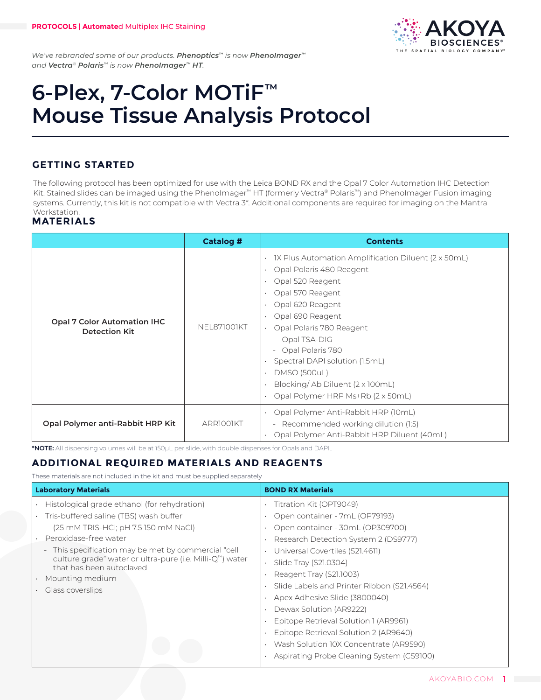

*We've rebranded some of our products. Phenoptics™ is now PhenoImager™ and Vectra® Polaris™ is now PhenoImager™ HT.*

# **6-Plex, 7-Color MOTiF™ Mouse Tissue Analysis Protocol**

# **GETTING STARTED**

The following protocol has been optimized for use with the Leica BOND RX and the Opal 7 Color Automation IHC Detection Kit. Stained slides can be imaged using the PhenoImager™ HT (formerly Vectra® Polaris™) and PhenoImager Fusion imaging systems. Currently, this kit is not compatible with Vectra 3\*. Additional components are required for imaging on the Mantra Workstation.

## **MATERIALS**

|                                                            | <b>Catalog #</b>   | <b>Contents</b>                                                                                                                                                                                                                                                                                                                                                                      |
|------------------------------------------------------------|--------------------|--------------------------------------------------------------------------------------------------------------------------------------------------------------------------------------------------------------------------------------------------------------------------------------------------------------------------------------------------------------------------------------|
| <b>Opal 7 Color Automation IHC</b><br><b>Detection Kit</b> | <b>NEL871001KT</b> | 1X Plus Automation Amplification Diluent (2 x 50mL)<br>Opal Polaris 480 Reagent<br>Opal 520 Reagent<br>Opal 570 Reagent<br>Opal 620 Reagent<br>Opal 690 Reagent<br>Opal Polaris 780 Reagent<br>Opal TSA-DIG<br>$\sim$<br>Opal Polaris 780<br>$\sim$<br>Spectral DAPI solution (1.5mL)<br><b>DMSO (500uL)</b><br>Blocking/Ab Diluent (2 x 100mL)<br>Opal Polymer HRP Ms+Rb (2 x 50mL) |
| Opal Polymer anti-Rabbit HRP Kit                           | ARRIOOIKT          | Opal Polymer Anti-Rabbit HRP (10mL)<br>$\bullet$<br>Recommended working dilution (1:5)<br>$ \,$<br>Opal Polymer Anti-Rabbit HRP Diluent (40mL)<br>$\bullet$                                                                                                                                                                                                                          |

**\*NOTE:** All dispensing volumes will be at 150μL per slide, with double dispenses for Opals and DAPI..

# **ADDITIONAL REQUIRED MATERIALS AND REAGENTS**

These materials are not included in the kit and must be supplied separately

| <b>Laboratory Materials</b>                                                                                                                                                                                                                                                          | <b>BOND RX Materials</b>                                                                                                                                                 |  |  |  |
|--------------------------------------------------------------------------------------------------------------------------------------------------------------------------------------------------------------------------------------------------------------------------------------|--------------------------------------------------------------------------------------------------------------------------------------------------------------------------|--|--|--|
| Histological grade ethanol (for rehydration)<br>Tris-buffered saline (TBS) wash buffer<br>(25 mM TRIS-HCl; pH 7.5 150 mM NaCl)<br>$\equiv$<br>Peroxidase-free water<br>This specification may be met by commercial "cell<br>culture grade" water or ultra-pure (i.e. Milli-Q™) water | Titration Kit (OPT9049)<br>Open container - 7mL (OP79193)<br>Open container - 30mL (OP309700)<br>Research Detection System 2 (DS9777)<br>Universal Covertiles (S21.4611) |  |  |  |
| that has been autoclaved<br>Mounting medium<br>Glass coverslips                                                                                                                                                                                                                      | Slide Tray (S21.0304)<br>$\bullet$<br>Reagent Tray (S21.1003)<br>Slide Labels and Printer Ribbon (S21.4564)<br>Apex Adhesive Slide (3800040)<br>Dewax Solution (AR9222)  |  |  |  |
|                                                                                                                                                                                                                                                                                      | Epitope Retrieval Solution 1 (AR9961)<br>Epitope Retrieval Solution 2 (AR9640)<br>Wash Solution 10X Concentrate (AR9590)<br>Aspirating Probe Cleaning System (CS9100)    |  |  |  |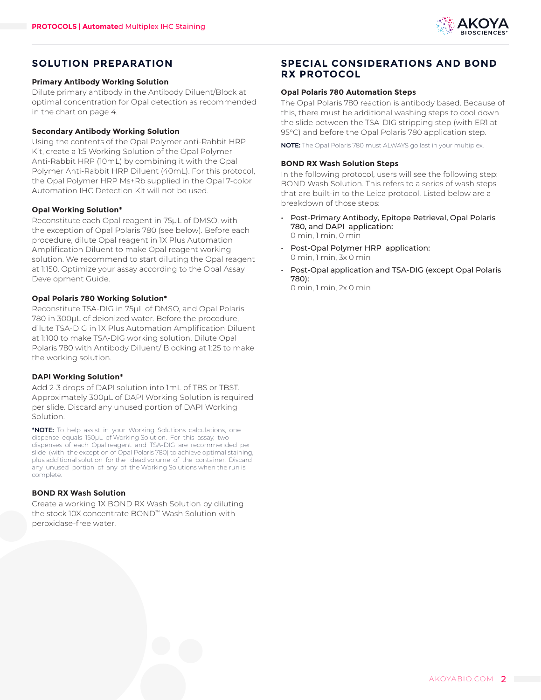

## **SOLUTION PREPARATION**

#### **Primary Antibody Working Solution**

Dilute primary antibody in the Antibody Diluent/Block at optimal concentration for Opal detection as recommended in the chart on page 4.

#### **Secondary Antibody Working Solution**

Using the contents of the Opal Polymer anti-Rabbit HRP Kit, create a 1:5 Working Solution of the Opal Polymer Anti-Rabbit HRP (10mL) by combining it with the Opal Polymer Anti-Rabbit HRP Diluent (40mL). For this protocol, the Opal Polymer HRP Ms+Rb supplied in the Opal 7-color Automation IHC Detection Kit will not be used.

#### **Opal Working Solution\***

Reconstitute each Opal reagent in 75µL of DMSO, with the exception of Opal Polaris 780 (see below). Before each procedure, dilute Opal reagent in 1X Plus Automation Amplification Diluent to make Opal reagent working solution. We recommend to start diluting the Opal reagent at 1:150. Optimize your assay according to the Opal Assay Development Guide.

#### **Opal Polaris 780 Working Solution\***

Reconstitute TSA-DIG in 75µL of DMSO, and Opal Polaris 780 in 300µL of deionized water. Before the procedure, dilute TSA-DIG in 1X Plus Automation Amplification Diluent at 1:100 to make TSA-DIG working solution. Dilute Opal Polaris 780 with Antibody Diluent/ Blocking at 1:25 to make the working solution.

#### **DAPI Working Solution\***

Add 2-3 drops of DAPI solution into 1mL of TBS or TBST. Approximately 300µL of DAPI Working Solution is required per slide. Discard any unused portion of DAPI Working Solution.

**\*NOTE:** To help assist in your Working Solutions calculations, one dispense equals 150µL of Working Solution. For this assay, two dispenses of each Opal reagent and TSA-DIG are recommended per slide (with the exception of Opal Polaris 780) to achieve optimal staining, plus additional solution for the dead volume of the container. Discard any unused portion of any of the Working Solutions when the run is complete.

#### **BOND RX Wash Solution**

Create a working 1X BOND RX Wash Solution by diluting the stock 10X concentrate BOND™ Wash Solution with peroxidase-free water.

## **SPECIAL CONSIDERATIONS AND BOND RX PROTOCOL**

#### **Opal Polaris 780 Automation Steps**

The Opal Polaris 780 reaction is antibody based. Because of this, there must be additional washing steps to cool down the slide between the TSA-DIG stripping step (with ER1 at 95°C) and before the Opal Polaris 780 application step.

**NOTE:** The Opal Polaris 780 must ALWAYS go last in your multiplex.

#### **BOND RX Wash Solution Steps**

In the following protocol, users will see the following step: BOND Wash Solution. This refers to a series of wash steps that are built-in to the Leica protocol. Listed below are a breakdown of those steps:

- Post-Primary Antibody, Epitope Retrieval, Opal Polaris 780, and DAPI application: 0 min, 1 min, 0 min
- Post-Opal Polymer HRP application: 0 min, 1 min, 3x 0 min
- Post-Opal application and TSA-DIG (except Opal Polaris 780):

0 min, 1 min, 2x 0 min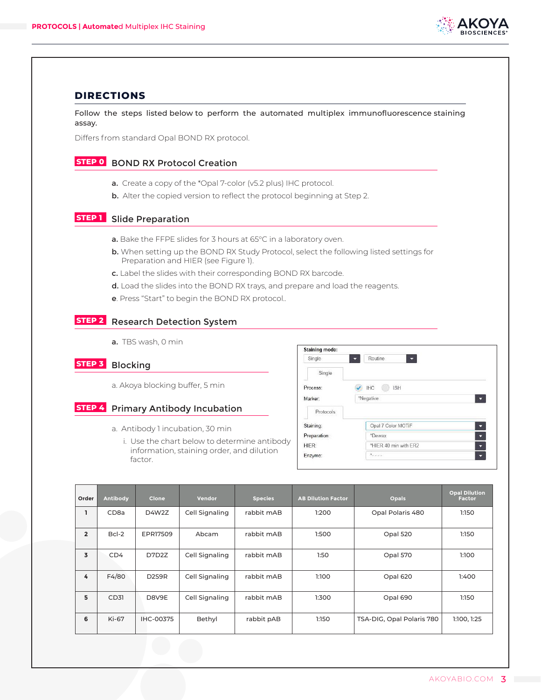

### **DIRECTIONS**

Follow the steps listed below to perform the automated multiplex immunofluorescence staining assay.

Differs from standard Opal BOND RX protocol.

## **STEP 0** BOND RX Protocol Creation

- a. Create a copy of the \*Opal 7-color (v5.2 plus) IHC protocol.
- **b.** Alter the copied version to reflect the protocol beginning at Step 2.

## **STEP 1** Slide Preparation

- a. Bake the FFPE slides for 3 hours at 65°C in a laboratory oven.
- b. When setting up the BOND RX Study Protocol, select the following listed settings for Preparation and HIER (see Figure 1).
- c. Label the slides with their corresponding BOND RX barcode.
- d. Load the slides into the BOND RX trays, and prepare and load the reagents.
- e. Press "Start" to begin the BOND RX protocol..

## **STEP 2** Research Detection System

a. TBS wash, 0 min

## **STEP 3** Blocking

a. Akoya blocking buffer, 5 min

#### **STEP 4** Primary Antibody Incubation

- a. Antibody 1 incubation, 30 min
	- i. Use the chart below to determine antibody information, staining order, and dilution factor.

| Single       | Routine<br>$\overline{\phantom{a}}$<br>≂ |   |  |
|--------------|------------------------------------------|---|--|
| Single       |                                          |   |  |
| Process:     | <b>IHC</b><br><b>ISH</b>                 |   |  |
| Marker:      | *Negative                                |   |  |
| Protocols    |                                          |   |  |
| Staining:    | Opal 7 Color MOTIF                       | ⊡ |  |
| Preparation: | *Dewax                                   | ▼ |  |
|              | *HIER 40 min with ER2                    | ▼ |  |
| HIER:        |                                          |   |  |

| Order          | <b>Antibody</b>  | <b>Clone</b>                   | Vendor         | <b>Species</b> | <b>AB Dilution Factor</b> | <b>Opals</b>              | <b>Opal Dilution</b><br><b>Factor</b> |
|----------------|------------------|--------------------------------|----------------|----------------|---------------------------|---------------------------|---------------------------------------|
| L.             | CD <sub>8a</sub> | D4W2Z                          | Cell Signaling | rabbit mAB     | 1:200                     | Opal Polaris 480          | 1:150                                 |
| $\overline{2}$ | $Bcl-2$          | EPR17509                       | Abcam          | rabbit mAB     | 1:500                     | Opal 520                  | 1:150                                 |
| 3              | CD4              | D7D2Z                          | Cell Signaling | rabbit mAB     | 1:50                      | Opal 570                  | 1:100                                 |
| 4              | F4/80            | D <sub>2</sub> S <sub>9R</sub> | Cell Signaling | rabbit mAB     | 1:100                     | Opal 620                  | 1:400                                 |
| 5              | CD31             | D8V9E                          | Cell Signaling | rabbit mAB     | 1:300                     | Opal 690                  | 1:150                                 |
| 6              | Ki-67            | IHC-00375                      | Bethyl         | rabbit pAB     | 1:150                     | TSA-DIG, Opal Polaris 780 | 1:100, 1:25                           |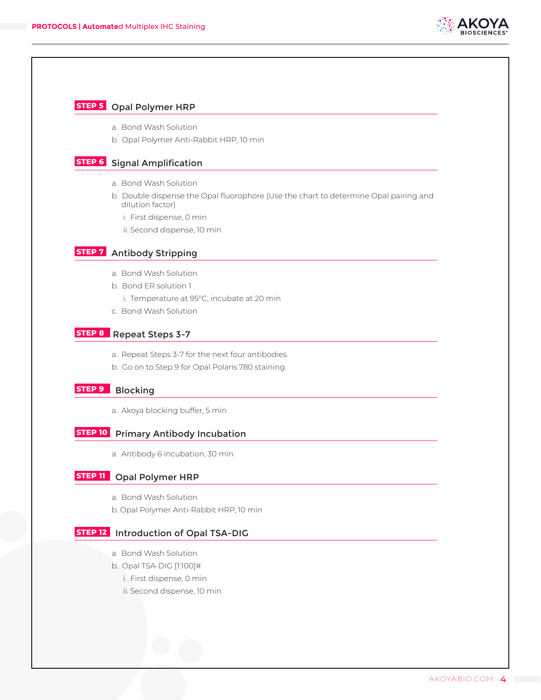

#### **STEP 5** Opal Polymer HRP

- a. Bond Wash Solution
- b. Opal Polymer Anti-Rabbit HRP, 10 min

# **STEP 6** Signal Amplification

- a. Bond Wash Solution
- b. Double dispense the Opal fluorophore (Use the chart to determine Opal pairing and dilution factor)
	- i. First dispense, 0 min
	- ii. Second dispense, 10 min

## **STEP 7** Antibody Stripping

- a. Bond Wash Solution
- b. Bond ER solution 1
	- i. Temperature at 95°C, incubate at 20 min
- c. Bond Wash Solution

#### **STEP 8** Repeat Steps 3-7

- a. Repeat Steps 3-7 for the next four antibodies.
- b. Go on to Step 9 for Opal Polaris 780 staining.

## **STEP 9** Blocking

a. Akoya blocking buffer, 5 min

#### **STEP 10** Primary Antibody Incubation

a. Antibody 6 incubation, 30 min

## **STEP 11** Opal Polymer HRP

- a. Bond Wash Solution
- b. Opal Polymer Anti-Rabbit HRP, 10 min

#### **STEP 12** Introduction of Opal TSA-DIG

- a. Bond Wash Solution
- b. Opal TSA-DIG [1:100]#
	- i. First dispense, 0 min
	- ii. Second dispense, 10 min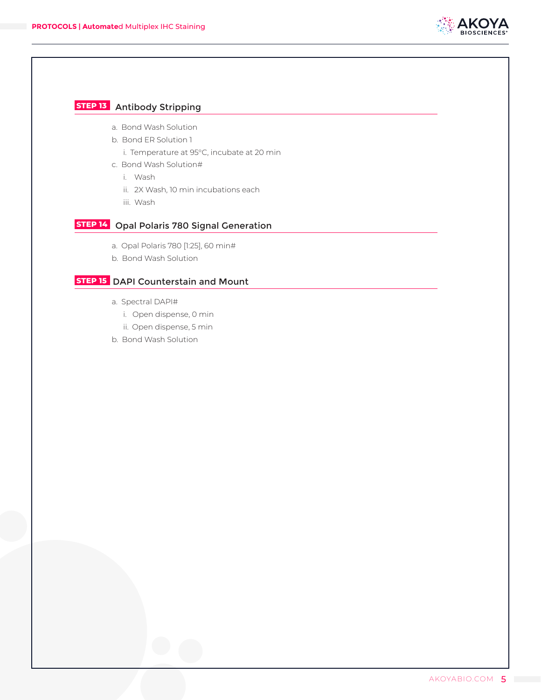

# **STEP 13** Antibody Stripping

- a. Bond Wash Solution
- b. Bond ER Solution 1
	- i. Temperature at 95°C, incubate at 20 min
- c. Bond Wash Solution#
	- i. Wash
	- ii. 2X Wash, 10 min incubations each
	- iii. Wash

# **STEP 14** Opal Polaris 780 Signal Generation

- a. Opal Polaris 780 [1:25], 60 min#
- b. Bond Wash Solution

#### **STEP 15** DAPI Counterstain and Mount

- a. Spectral DAPI#
	- i. Open dispense, 0 min
	- ii. Open dispense, 5 min
- b. Bond Wash Solution